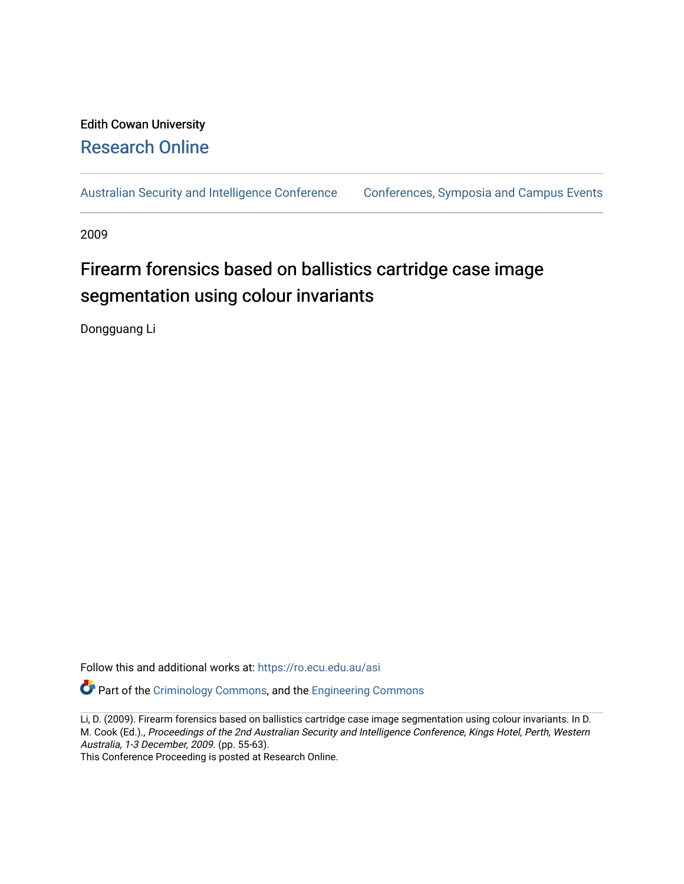# Edith Cowan University [Research Online](https://ro.ecu.edu.au/)

[Australian Security and Intelligence Conference](https://ro.ecu.edu.au/asi) [Conferences, Symposia and Campus Events](https://ro.ecu.edu.au/conference) 

2009

# Firearm forensics based on ballistics cartridge case image segmentation using colour invariants

Dongguang Li

Follow this and additional works at: [https://ro.ecu.edu.au/asi](https://ro.ecu.edu.au/asi?utm_source=ro.ecu.edu.au%2Fasi%2F56&utm_medium=PDF&utm_campaign=PDFCoverPages) 

**P** Part of the [Criminology Commons](http://network.bepress.com/hgg/discipline/417?utm_source=ro.ecu.edu.au%2Fasi%2F56&utm_medium=PDF&utm_campaign=PDFCoverPages), and the Engineering Commons

Li, D. (2009). Firearm forensics based on ballistics cartridge case image segmentation using colour invariants. In D. M. Cook (Ed.)., Proceedings of the 2nd Australian Security and Intelligence Conference, Kings Hotel, Perth, Western Australia, 1-3 December, 2009. (pp. 55-63).

This Conference Proceeding is posted at Research Online.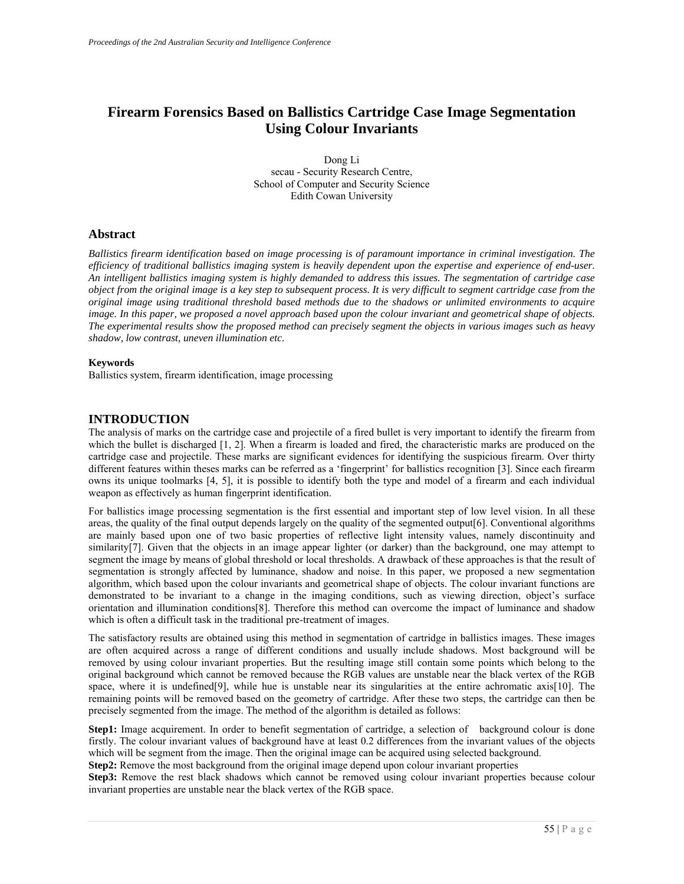# **Firearm Forensics Based on Ballistics Cartridge Case Image Segmentation Using Colour Invariants**

Dong Li secau - Security Research Centre, School of Computer and Security Science Edith Cowan University

# **Abstract**

*Ballistics firearm identification based on image processing is of paramount importance in criminal investigation. The efficiency of traditional ballistics imaging system is heavily dependent upon the expertise and experience of end-user. An intelligent ballistics imaging system is highly demanded to address this issues. The segmentation of cartridge case object from the original image is a key step to subsequent process. It is very difficult to segment cartridge case from the original image using traditional threshold based methods due to the shadows or unlimited environments to acquire image. In this paper, we proposed a novel approach based upon the colour invariant and geometrical shape of objects. The experimental results show the proposed method can precisely segment the objects in various images such as heavy shadow, low contrast, uneven illumination etc.* 

#### **Keywords**

Ballistics system, firearm identification, image processing

# **INTRODUCTION**

The analysis of marks on the cartridge case and projectile of a fired bullet is very important to identify the firearm from which the bullet is discharged [1, 2]. When a firearm is loaded and fired, the characteristic marks are produced on the cartridge case and projectile. These marks are significant evidences for identifying the suspicious firearm. Over thirty different features within theses marks can be referred as a 'fingerprint' for ballistics recognition [3]. Since each firearm owns its unique toolmarks [4, 5], it is possible to identify both the type and model of a firearm and each individual weapon as effectively as human fingerprint identification.

For ballistics image processing segmentation is the first essential and important step of low level vision. In all these areas, the quality of the final output depends largely on the quality of the segmented output[6]. Conventional algorithms are mainly based upon one of two basic properties of reflective light intensity values, namely discontinuity and similarity<sup>[7]</sup>. Given that the objects in an image appear lighter (or darker) than the background, one may attempt to segment the image by means of global threshold or local thresholds. A drawback of these approaches is that the result of segmentation is strongly affected by luminance, shadow and noise. In this paper, we proposed a new segmentation algorithm, which based upon the colour invariants and geometrical shape of objects. The colour invariant functions are demonstrated to be invariant to a change in the imaging conditions, such as viewing direction, object's surface orientation and illumination conditions[8]. Therefore this method can overcome the impact of luminance and shadow which is often a difficult task in the traditional pre-treatment of images.

The satisfactory results are obtained using this method in segmentation of cartridge in ballistics images. These images are often acquired across a range of different conditions and usually include shadows. Most background will be removed by using colour invariant properties. But the resulting image still contain some points which belong to the original background which cannot be removed because the RGB values are unstable near the black vertex of the RGB space, where it is undefined[9], while hue is unstable near its singularities at the entire achromatic axis[10]. The remaining points will be removed based on the geometry of cartridge. After these two steps, the cartridge can then be precisely segmented from the image. The method of the algorithm is detailed as follows:

**Step1:** Image acquirement. In order to benefit segmentation of cartridge, a selection of background colour is done firstly. The colour invariant values of background have at least 0.2 differences from the invariant values of the objects which will be segment from the image. Then the original image can be acquired using selected background.

**Step2:** Remove the most background from the original image depend upon colour invariant properties

**Step3:** Remove the rest black shadows which cannot be removed using colour invariant properties because colour invariant properties are unstable near the black vertex of the RGB space.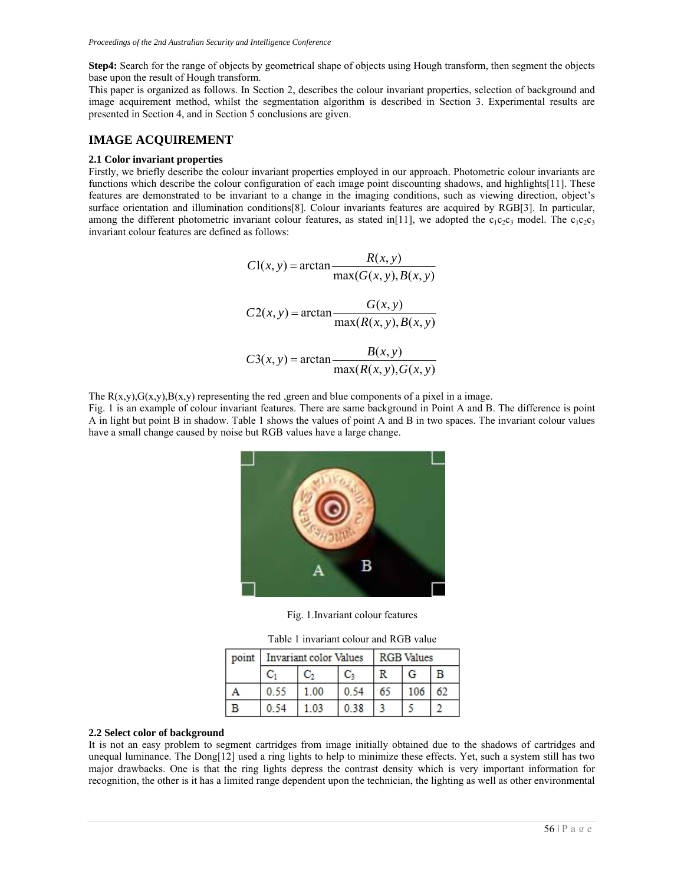**Step4:** Search for the range of objects by geometrical shape of objects using Hough transform, then segment the objects base upon the result of Hough transform.

This paper is organized as follows. In Section 2, describes the colour invariant properties, selection of background and image acquirement method, whilst the segmentation algorithm is described in Section 3. Experimental results are presented in Section 4, and in Section 5 conclusions are given.

# **IMAGE ACQUIREMENT**

#### **2.1 Color invariant properties**

Firstly, we briefly describe the colour invariant properties employed in our approach. Photometric colour invariants are functions which describe the colour configuration of each image point discounting shadows, and highlights[11]. These features are demonstrated to be invariant to a change in the imaging conditions, such as viewing direction, object's surface orientation and illumination conditions[8]. Colour invariants features are acquired by RGB[3]. In particular, among the different photometric invariant colour features, as stated in[11], we adopted the  $c_1c_2c_3$  model. The  $c_1c_2c_3$ invariant colour features are defined as follows:

$$
C1(x, y) = \arctan \frac{R(x, y)}{\max(G(x, y), B(x, y))}
$$

$$
C2(x, y) = \arctan \frac{G(x, y)}{\max(R(x, y), B(x, y))}
$$

$$
C3(x, y) = \arctan \frac{B(x, y)}{\max(R(x, y), G(x, y))}
$$

The  $R(x,y), G(x,y), B(x,y)$  representing the red ,green and blue components of a pixel in a image.

Fig. 1 is an example of colour invariant features. There are same background in Point A and B. The difference is point A in light but point B in shadow. Table 1 shows the values of point A and B in two spaces. The invariant colour values have a small change caused by noise but RGB values have a large change.



Fig. 1.Invariant colour features

Table 1 invariant colour and RGB value

| point | Invariant color Values |      |      | <b>RGB</b> Values |  |  |
|-------|------------------------|------|------|-------------------|--|--|
|       |                        |      |      |                   |  |  |
|       |                        | 1.00 |      |                   |  |  |
|       |                        |      | 0.38 |                   |  |  |

#### **2.2 Select color of background**

It is not an easy problem to segment cartridges from image initially obtained due to the shadows of cartridges and unequal luminance. The Dong[12] used a ring lights to help to minimize these effects. Yet, such a system still has two major drawbacks. One is that the ring lights depress the contrast density which is very important information for recognition, the other is it has a limited range dependent upon the technician, the lighting as well as other environmental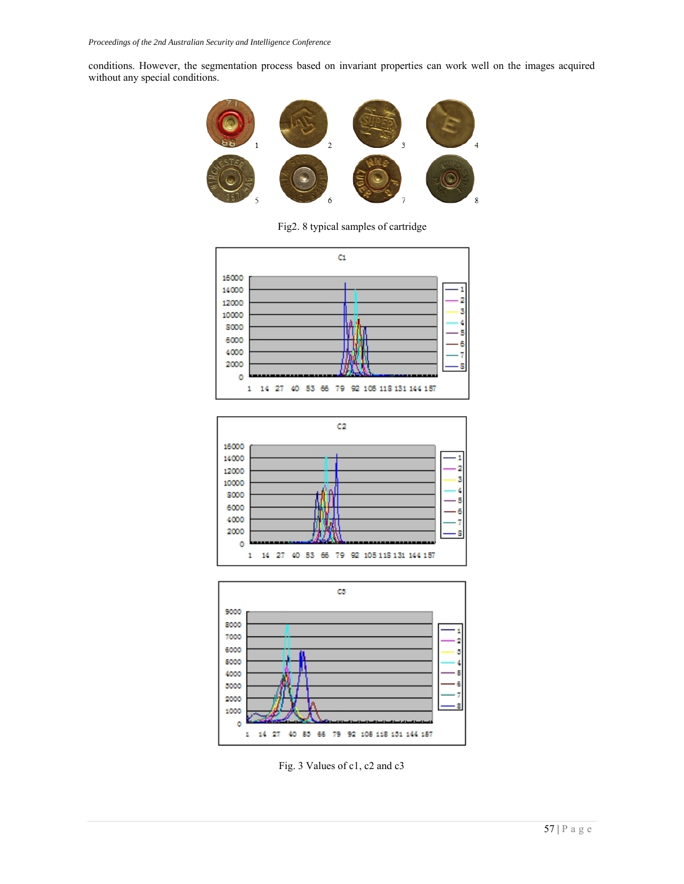conditions. However, the segmentation process based on invariant properties can work well on the images acquired without any special conditions.



Fig2. 8 typical samples of cartridge







Fig. 3 Values of c1, c2 and c3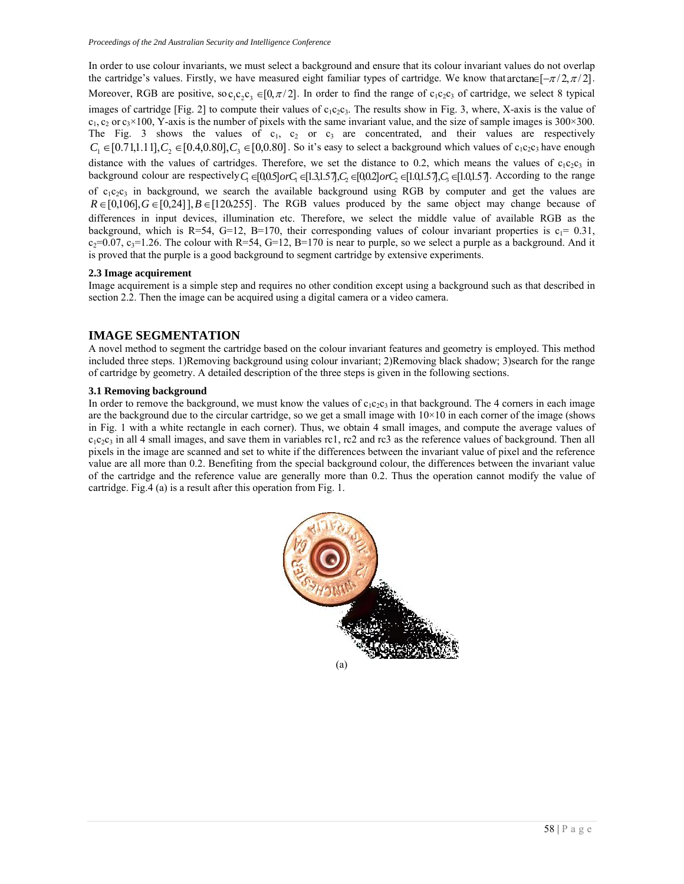In order to use colour invariants, we must select a background and ensure that its colour invariant values do not overlap the cartridge's values. Firstly, we have measured eight familiar types of cartridge. We know that arctan  $[-\pi/2, \pi/2]$ . Moreover, RGB are positive, so c,c,c,  $\epsilon$  [0, $\pi/2$ ]. In order to find the range of c<sub>1</sub>c<sub>2</sub>c<sub>3</sub> of cartridge, we select 8 typical images of cartridge [Fig. 2] to compute their values of  $c_1c_2c_3$ . The results show in Fig. 3, where, X-axis is the value of  $c_1, c_2$  or  $c_3 \times 100$ , Y-axis is the number of pixels with the same invariant value, and the size of sample images is 300×300. The Fig. 3 shows the values of  $c_1$ ,  $c_2$  or  $c_3$  are concentrated, and their values are respectively  $C_1 \in [0.71,1.11], C_2 \in [0.4,0.80], C_3 \in [0,0.80]$ . So it's easy to select a background which values of c<sub>1</sub>c<sub>2</sub>c<sub>3</sub> have enough distance with the values of cartridges. Therefore, we set the distance to 0.2, which means the values of  $c_1c_2c_3$  in background colour are respectively  $C_1 \in [0,0.5]$  or  $C_1 \in [1.3,1.57]$ ,  $C_2 \in [0,0.2]$  or  $C_2 \in [1.0,1.57]$ ,  $C_3 \in [1.0,1.57]$ . According to the range of  $c_1c_2c_3$  in background, we search the available background using RGB by computer and get the values are  $R \in [0,106], G \in [0,24]$ ],  $B \in [120,255]$ . The RGB values produced by the same object may change because of differences in input devices, illumination etc. Therefore, we select the middle value of available RGB as the background, which is R=54, G=12, B=170, their corresponding values of colour invariant properties is  $c_1$ = 0.31,  $c_2$ =0.07,  $c_3$ =1.26. The colour with R=54, G=12, B=170 is near to purple, so we select a purple as a background. And it is proved that the purple is a good background to segment cartridge by extensive experiments.

#### **2.3 Image acquirement**

Image acquirement is a simple step and requires no other condition except using a background such as that described in section 2.2. Then the image can be acquired using a digital camera or a video camera.

#### **IMAGE SEGMENTATION**

A novel method to segment the cartridge based on the colour invariant features and geometry is employed. This method included three steps. 1)Removing background using colour invariant; 2)Removing black shadow; 3)search for the range of cartridge by geometry. A detailed description of the three steps is given in the following sections.

#### **3.1 Removing background**

In order to remove the background, we must know the values of  $c_1c_2c_3$  in that background. The 4 corners in each image are the background due to the circular cartridge, so we get a small image with  $10\times10$  in each corner of the image (shows in Fig. 1 with a white rectangle in each corner). Thus, we obtain 4 small images, and compute the average values of  $c_1c_2c_3$  in all 4 small images, and save them in variables rc1, rc2 and rc3 as the reference values of background. Then all pixels in the image are scanned and set to white if the differences between the invariant value of pixel and the reference value are all more than 0.2. Benefiting from the special background colour, the differences between the invariant value of the cartridge and the reference value are generally more than 0.2. Thus the operation cannot modify the value of cartridge. Fig.4 (a) is a result after this operation from Fig. 1.

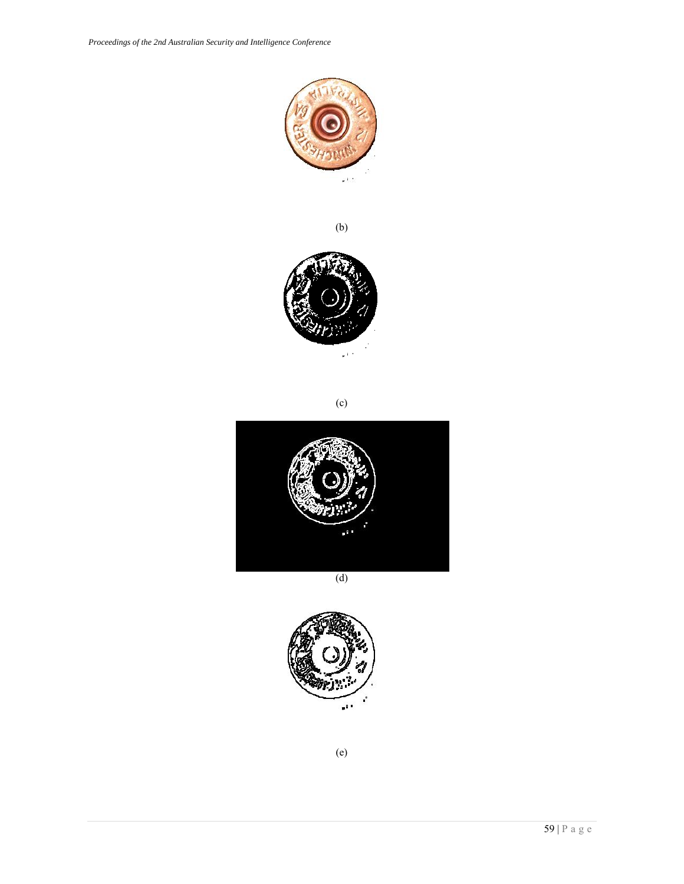

(b)



(c)



(d)



(e)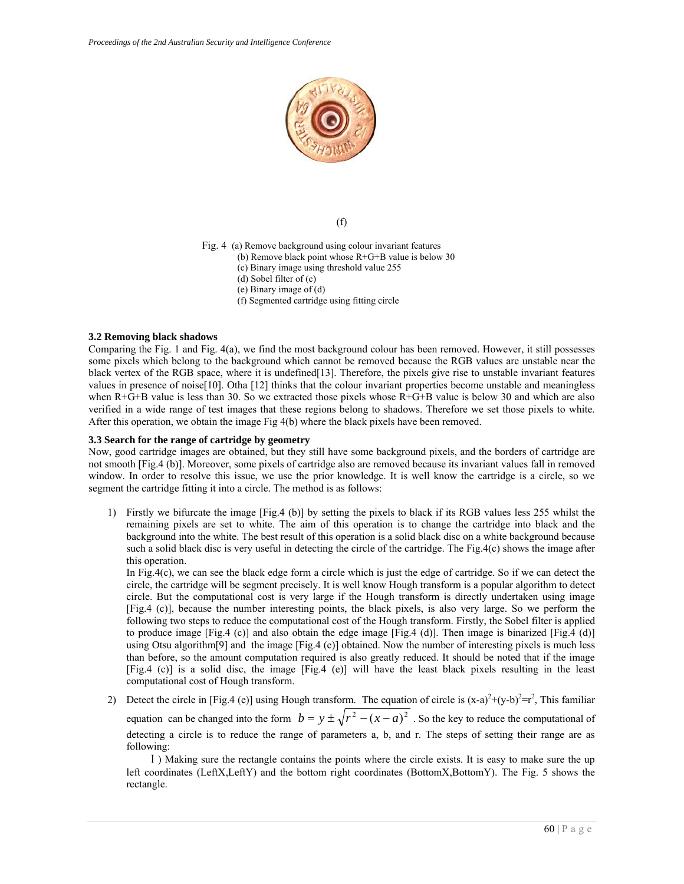

(f)

- Fig. 4 (a) Remove background using colour invariant features
	- (b) Remove black point whose R+G+B value is below 30
	- (c) Binary image using threshold value 255
	- (d) Sobel filter of (c)
	- (e) Binary image of (d)
	- (f) Segmented cartridge using fitting circle

#### **3.2 Removing black shadows**

Comparing the Fig. 1 and Fig. 4(a), we find the most background colour has been removed. However, it still possesses some pixels which belong to the background which cannot be removed because the RGB values are unstable near the black vertex of the RGB space, where it is undefined[13]. Therefore, the pixels give rise to unstable invariant features values in presence of noise[10]. Otha [12] thinks that the colour invariant properties become unstable and meaningless when  $R+G+B$  value is less than 30. So we extracted those pixels whose  $R+G+B$  value is below 30 and which are also verified in a wide range of test images that these regions belong to shadows. Therefore we set those pixels to white. After this operation, we obtain the image Fig 4(b) where the black pixels have been removed.

#### **3.3 Search for the range of cartridge by geometry**

Now, good cartridge images are obtained, but they still have some background pixels, and the borders of cartridge are not smooth [Fig.4 (b)]. Moreover, some pixels of cartridge also are removed because its invariant values fall in removed window. In order to resolve this issue, we use the prior knowledge. It is well know the cartridge is a circle, so we segment the cartridge fitting it into a circle. The method is as follows:

1) Firstly we bifurcate the image [Fig.4 (b)] by setting the pixels to black if its RGB values less 255 whilst the remaining pixels are set to white. The aim of this operation is to change the cartridge into black and the background into the white. The best result of this operation is a solid black disc on a white background because such a solid black disc is very useful in detecting the circle of the cartridge. The Fig.4(c) shows the image after this operation.

In Fig.4(c), we can see the black edge form a circle which is just the edge of cartridge. So if we can detect the circle, the cartridge will be segment precisely. It is well know Hough transform is a popular algorithm to detect circle. But the computational cost is very large if the Hough transform is directly undertaken using image [Fig.4 (c)], because the number interesting points, the black pixels, is also very large. So we perform the following two steps to reduce the computational cost of the Hough transform. Firstly, the Sobel filter is applied to produce image  $[Fig.4 (c)]$  and also obtain the edge image  $[Fig.4 (d)]$ . Then image is binarized  $[Fig.4 (d)]$ using Otsu algorithm[9] and the image [Fig.4 (e)] obtained. Now the number of interesting pixels is much less than before, so the amount computation required is also greatly reduced. It should be noted that if the image [Fig.4 (c)] is a solid disc, the image [Fig.4 (e)] will have the least black pixels resulting in the least computational cost of Hough transform.

2) Detect the circle in [Fig.4 (e)] using Hough transform. The equation of circle is  $(x-a)^2 + (y-b)^2 = r^2$ , This familiar equation can be changed into the form  $b = y \pm \sqrt{r^2 - (x - a)^2}$ . So the key to reduce the computational of detecting a circle is to reduce the range of parameters a, b, and r. The steps of setting their range are as following:

Ⅰ) Making sure the rectangle contains the points where the circle exists. It is easy to make sure the up left coordinates (LeftX,LeftY) and the bottom right coordinates (BottomX,BottomY). The Fig. 5 shows the rectangle.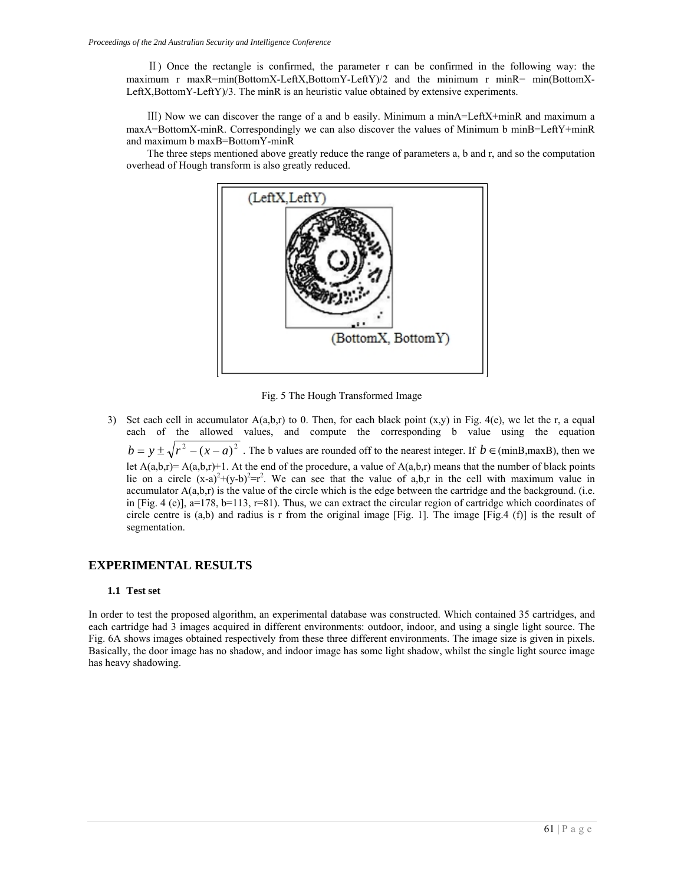Ⅱ) Once the rectangle is confirmed, the parameter r can be confirmed in the following way: the maximum r maxR=min(BottomX-LeftX,BottomY-LeftY)/2 and the minimum r minR= min(BottomX-LeftX,BottomY-LeftY)/3. The minR is an heuristic value obtained by extensive experiments.

Ⅲ) Now we can discover the range of a and b easily. Minimum a minA=LeftX+minR and maximum a maxA=BottomX-minR. Correspondingly we can also discover the values of Minimum b minB=LeftY+minR and maximum b maxB=BottomY-minR

The three steps mentioned above greatly reduce the range of parameters a, b and r, and so the computation overhead of Hough transform is also greatly reduced.



Fig. 5 The Hough Transformed Image

3) Set each cell in accumulator  $A(a,b,r)$  to 0. Then, for each black point  $(x,y)$  in Fig. 4(e), we let the r, a equal each of the allowed values, and compute the corresponding b value using the equation  $b = y \pm \sqrt{r^2 - (x - a)^2}$ . The b values are rounded off to the nearest integer. If  $b \in (minB, maxB)$ , then we let  $A(a,b,r)=A(a,b,r)+1$ . At the end of the procedure, a value of  $A(a,b,r)$  means that the number of black points lie on a circle  $(x-a)^2+(y-b)^2=r^2$ . We can see that the value of a,b,r in the cell with maximum value in accumulator A(a,b,r) is the value of the circle which is the edge between the cartridge and the background. (i.e. in [Fig. 4 (e)],  $a=178$ ,  $b=113$ ,  $r=81$ ). Thus, we can extract the circular region of cartridge which coordinates of circle centre is  $(a,b)$  and radius is r from the original image [Fig. 1]. The image [Fig.4 (f)] is the result of segmentation.

# **EXPERIMENTAL RESULTS**

#### **1.1 Test set**

In order to test the proposed algorithm, an experimental database was constructed. Which contained 35 cartridges, and each cartridge had 3 images acquired in different environments: outdoor, indoor, and using a single light source. The Fig. 6A shows images obtained respectively from these three different environments. The image size is given in pixels. Basically, the door image has no shadow, and indoor image has some light shadow, whilst the single light source image has heavy shadowing.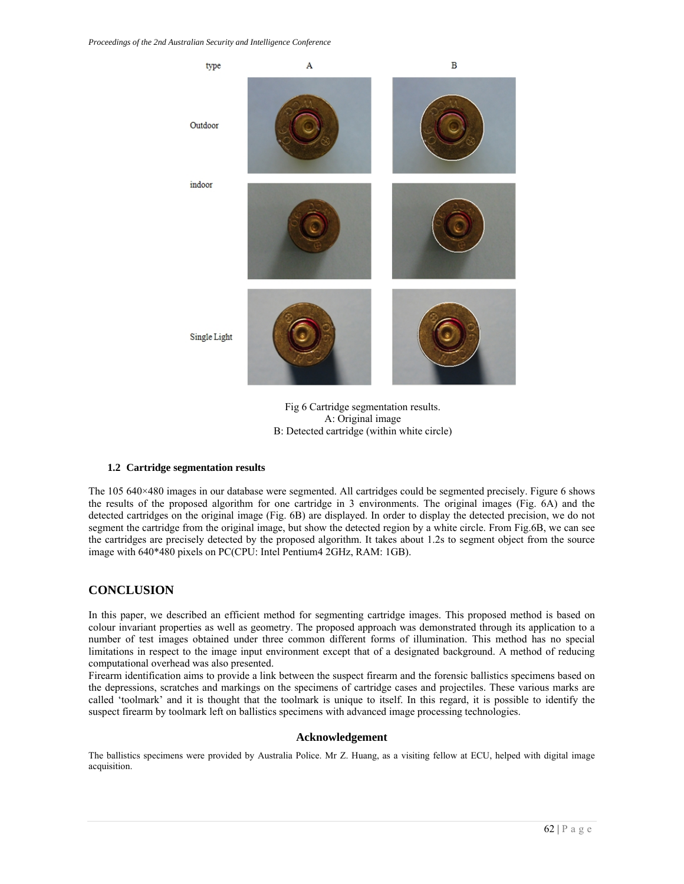

Fig 6 Cartridge segmentation results. A: Original image B: Detected cartridge (within white circle)

#### **1.2 Cartridge segmentation results**

The 105 640×480 images in our database were segmented. All cartridges could be segmented precisely. Figure 6 shows the results of the proposed algorithm for one cartridge in 3 environments. The original images (Fig. 6A) and the detected cartridges on the original image (Fig. 6B) are displayed. In order to display the detected precision, we do not segment the cartridge from the original image, but show the detected region by a white circle. From Fig.6B, we can see the cartridges are precisely detected by the proposed algorithm. It takes about 1.2s to segment object from the source image with 640\*480 pixels on PC(CPU: Intel Pentium4 2GHz, RAM: 1GB).

# **CONCLUSION**

In this paper, we described an efficient method for segmenting cartridge images. This proposed method is based on colour invariant properties as well as geometry. The proposed approach was demonstrated through its application to a number of test images obtained under three common different forms of illumination. This method has no special limitations in respect to the image input environment except that of a designated background. A method of reducing computational overhead was also presented.

Firearm identification aims to provide a link between the suspect firearm and the forensic ballistics specimens based on the depressions, scratches and markings on the specimens of cartridge cases and projectiles. These various marks are called 'toolmark' and it is thought that the toolmark is unique to itself. In this regard, it is possible to identify the suspect firearm by toolmark left on ballistics specimens with advanced image processing technologies.

#### **Acknowledgement**

The ballistics specimens were provided by Australia Police. Mr Z. Huang, as a visiting fellow at ECU, helped with digital image acquisition.